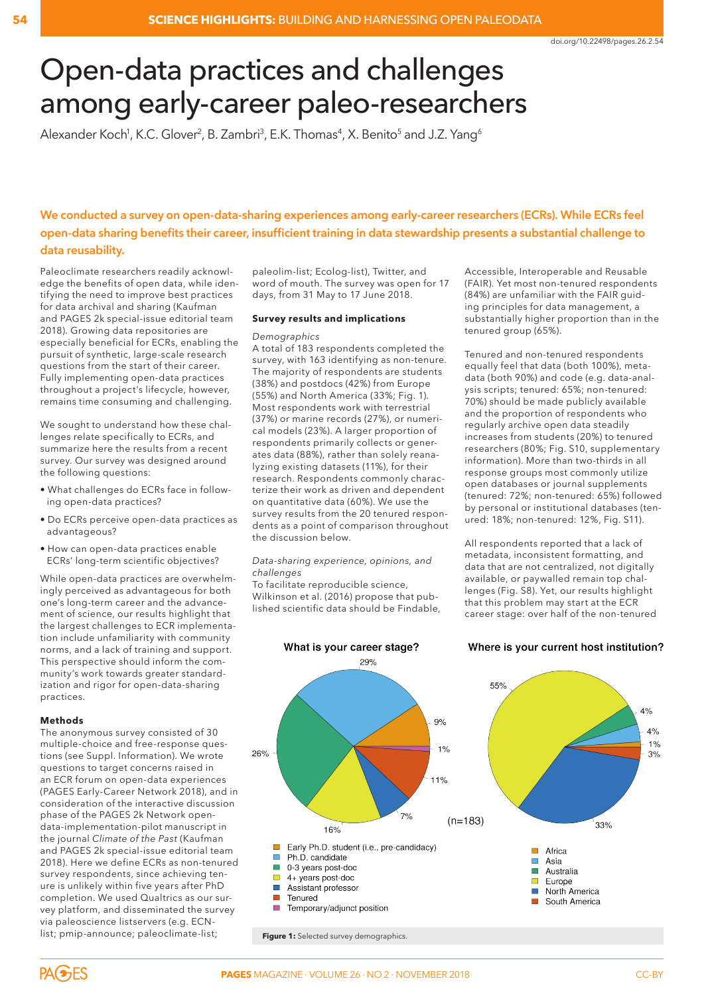# Open-data practices and challenges among early-career paleo-researchers

Alexander Koch<sup>1</sup>, K.C. Glover<sup>2</sup>, B. Zambri<sup>3</sup>, E.K. Thomas<sup>4</sup>, X. Benito<sup>5</sup> and J.Z. Yang<sup>6</sup>

# **We conducted a survey on open-data-sharing experiences among early-career researchers (ECRs). While ECRs feel open-data sharing benefits their career, insufficient training in data stewardship presents a substantial challenge to data reusability.**

Paleoclimate researchers readily acknowledge the benefits of open data, while identifying the need to improve best practices for data archival and sharing (Kaufman and PAGES 2k special-issue editorial team 2018). Growing data repositories are especially beneficial for ECRs, enabling the pursuit of synthetic, large-scale research questions from the start of their career. Fully implementing open-data practices throughout a project's lifecycle, however, remains time consuming and challenging.

We sought to understand how these challenges relate specifically to ECRs, and summarize here the results from a recent survey. Our survey was designed around the following questions:

- What challenges do ECRs face in following open-data practices?
- Do ECRs perceive open-data practices as advantageous?
- How can open-data practices enable ECRs' long-term scientific objectives?

While open-data practices are overwhelmingly perceived as advantageous for both one's long-term career and the advancement of science, our results highlight that the largest challenges to ECR implementation include unfamiliarity with community norms, and a lack of training and support. This perspective should inform the community's work towards greater standardization and rigor for open-data-sharing practices.

# **Methods**

The anonymous survey consisted of 30 multiple-choice and free-response questions (see Suppl. Information). We wrote questions to target concerns raised in an ECR forum on open-data experiences (PAGES Early-Career Network 2018), and in consideration of the interactive discussion phase of the PAGES 2k Network opendata-implementation-pilot manuscript in the journal *Climate of the Past* (Kaufman and PAGES 2k special-issue editorial team 2018). Here we define ECRs as non-tenured survey respondents, since achieving tenure is unlikely within five years after PhD completion. We used Qualtrics as our survey platform, and disseminated the survey via paleoscience listservers (e.g. ECNlist; pmip-announce; paleoclimate-list;

paleolim-list; Ecolog-list), Twitter, and word of mouth. The survey was open for 17 days, from 31 May to 17 June 2018.

#### **Survey results and implications**

#### *Demographics*

A total of 183 respondents completed the survey, with 163 identifying as non-tenure. The majority of respondents are students (38%) and postdocs (42%) from Europe (55%) and North America (33%; Fig. 1). Most respondents work with terrestrial (37%) or marine records (27%), or numerical models (23%). A larger proportion of respondents primarily collects or generates data (88%), rather than solely reanalyzing existing datasets (11%), for their research. Respondents commonly characterize their work as driven and dependent on quantitative data (60%). We use the survey results from the 20 tenured respondents as a point of comparison throughout the discussion below.

#### *Data-sharing experience, opinions, and challenges*

To facilitate reproducible science, Wilkinson et al. (2016) propose that published scientific data should be Findable,

Accessible, Interoperable and Reusable (FAIR). Yet most non-tenured respondents (84%) are unfamiliar with the FAIR guiding principles for data management, a substantially higher proportion than in the tenured group (65%).

Tenured and non-tenured respondents equally feel that data (both 100%), metadata (both 90%) and code (e.g. data-analysis scripts; tenured: 65%; non-tenured: 70%) should be made publicly available and the proportion of respondents who regularly archive open data steadily increases from students (20%) to tenured researchers (80%; Fig. S10, supplementary information). More than two-thirds in all response groups most commonly utilize open databases or journal supplements (tenured: 72%; non-tenured: 65%) followed by personal or institutional databases (tenured: 18%; non-tenured: 12%, Fig. S11).

All respondents reported that a lack of metadata, inconsistent formatting, and data that are not centralized, not digitally available, or paywalled remain top challenges (Fig. S8). Yet, our results highlight that this problem may start at the ECR career stage: over half of the non-tenured



# Where is your current host institution?



 $1%$